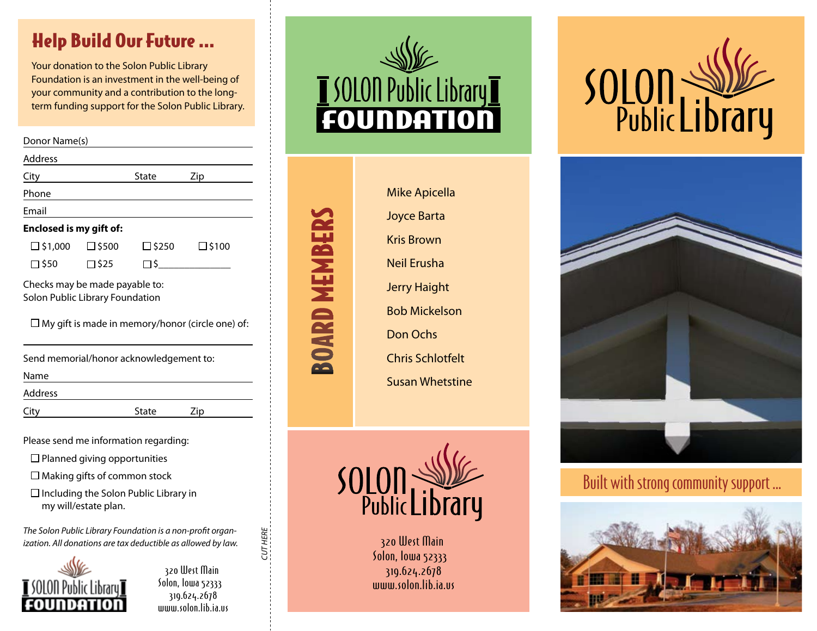## Help Build Our Future ...

 Your donation to the Solon Public Library Foundation is an investment in the well-being of your community and a contribution to the longterm funding support for the Solon Public Library.

| Donor Name(s)                                                     |              |              |                 |
|-------------------------------------------------------------------|--------------|--------------|-----------------|
| Address                                                           |              |              |                 |
| City                                                              |              | State        | Zip             |
| Phone                                                             |              |              |                 |
| Email                                                             |              |              |                 |
| Enclosed is my gift of:                                           |              |              |                 |
| $\square$ \$1,000                                                 | $\Box$ \$500 | $\Box$ \$250 | $\square$ \$100 |
| □ \$50                                                            | ∏\$25        | Π\$          |                 |
| Checks may be made payable to:<br>Solon Public Library Foundation |              |              |                 |

 $\Box$  My gift is made in memory/honor (circle one) of:

| Send memorial/honor acknowledgement to: |       |     |  |  |
|-----------------------------------------|-------|-----|--|--|
| Name                                    |       |     |  |  |
| Address                                 |       |     |  |  |
| City                                    | State | Zip |  |  |

Please send me information regarding:

- $\Box$  Planned giving opportunities
- $\Box$  Making gifts of common stock
- $\Box$  Including the Solon Public Library in my will/estate plan.

*The Solon Public Library Foundation is a non-profit organization. All donations are tax deductible as allowed by law.*



320 West Main Solon, lowa 52333 319.624.2678 www.solon.lib.ia.us *CUT HERE*

CUT HERE



| <b>Mike Apicella</b>    |
|-------------------------|
| <b>Joyce Barta</b>      |
| Kris Brown              |
| Neil Erusha             |
| <b>Jerry Haight</b>     |
| <b>Bob Mickelson</b>    |
| Don Ochs                |
| <b>Chris Schlotfelt</b> |
| <b>Susan Whetstine</b>  |
|                         |

**BOARD MEMBE** 



320 West Main Solon, Iowa 52333 319.624.2678 mmm.solon.lib.ia.us





Built with strong community support ...